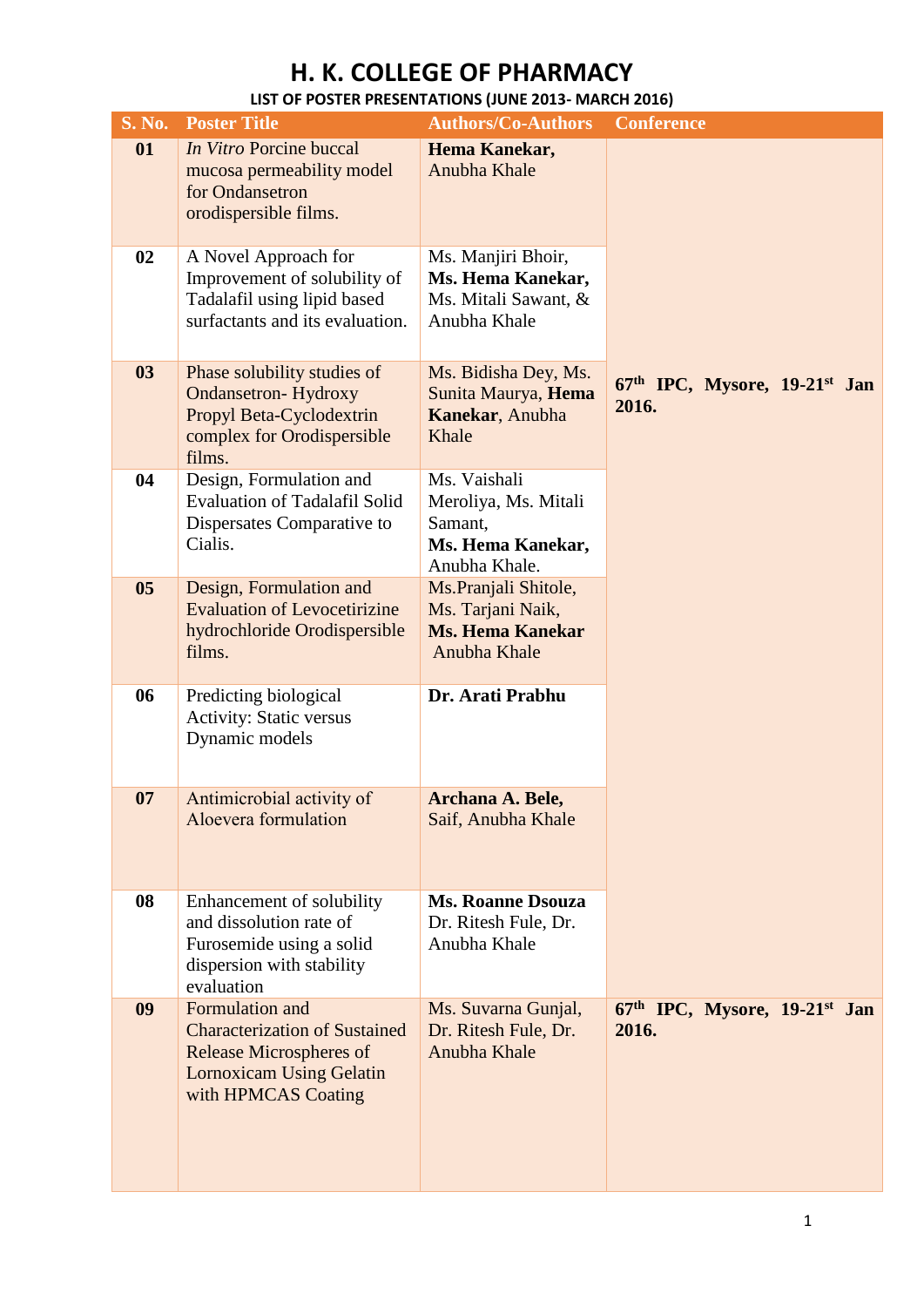| <b>S. No.</b>  | <b>Poster Title</b>                                                                                                                                 | <b>Authors/Co-Authors</b>                                                             | <b>Conference</b>                      |
|----------------|-----------------------------------------------------------------------------------------------------------------------------------------------------|---------------------------------------------------------------------------------------|----------------------------------------|
| 01             | In Vitro Porcine buccal<br>mucosa permeability model<br>for Ondansetron<br>orodispersible films.                                                    | Hema Kanekar,<br>Anubha Khale                                                         |                                        |
| 02             | A Novel Approach for<br>Improvement of solubility of<br>Tadalafil using lipid based<br>surfactants and its evaluation.                              | Ms. Manjiri Bhoir,<br>Ms. Hema Kanekar,<br>Ms. Mitali Sawant, &<br>Anubha Khale       |                                        |
| 03             | Phase solubility studies of<br><b>Ondansetron-Hydroxy</b><br>Propyl Beta-Cyclodextrin<br>complex for Orodispersible<br>films.                       | Ms. Bidisha Dey, Ms.<br>Sunita Maurya, Hema<br>Kanekar, Anubha<br>Khale               | 67th IPC, Mysore, 19-21st Jan<br>2016. |
| 04             | Design, Formulation and<br><b>Evaluation of Tadalafil Solid</b><br>Dispersates Comparative to<br>Cialis.                                            | Ms. Vaishali<br>Meroliya, Ms. Mitali<br>Samant,<br>Ms. Hema Kanekar,<br>Anubha Khale. |                                        |
| 0 <sub>5</sub> | Design, Formulation and<br><b>Evaluation of Levocetirizine</b><br>hydrochloride Orodispersible<br>films.                                            | Ms.Pranjali Shitole,<br>Ms. Tarjani Naik,<br><b>Ms. Hema Kanekar</b><br>Anubha Khale  |                                        |
| 06             | Predicting biological<br><b>Activity: Static versus</b><br>Dynamic models                                                                           | Dr. Arati Prabhu                                                                      |                                        |
| 07             | Antimicrobial activity of<br>Aloevera formulation                                                                                                   | Archana A. Bele,<br>Saif, Anubha Khale                                                |                                        |
| 08             | Enhancement of solubility<br>and dissolution rate of<br>Furosemide using a solid<br>dispersion with stability<br>evaluation                         | <b>Ms. Roanne Dsouza</b><br>Dr. Ritesh Fule, Dr.<br>Anubha Khale                      |                                        |
| 09             | Formulation and<br><b>Characterization of Sustained</b><br><b>Release Microspheres of</b><br><b>Lornoxicam Using Gelatin</b><br>with HPMCAS Coating | Ms. Suvarna Gunjal,<br>Dr. Ritesh Fule, Dr.<br>Anubha Khale                           | 67th IPC, Mysore, 19-21st Jan<br>2016. |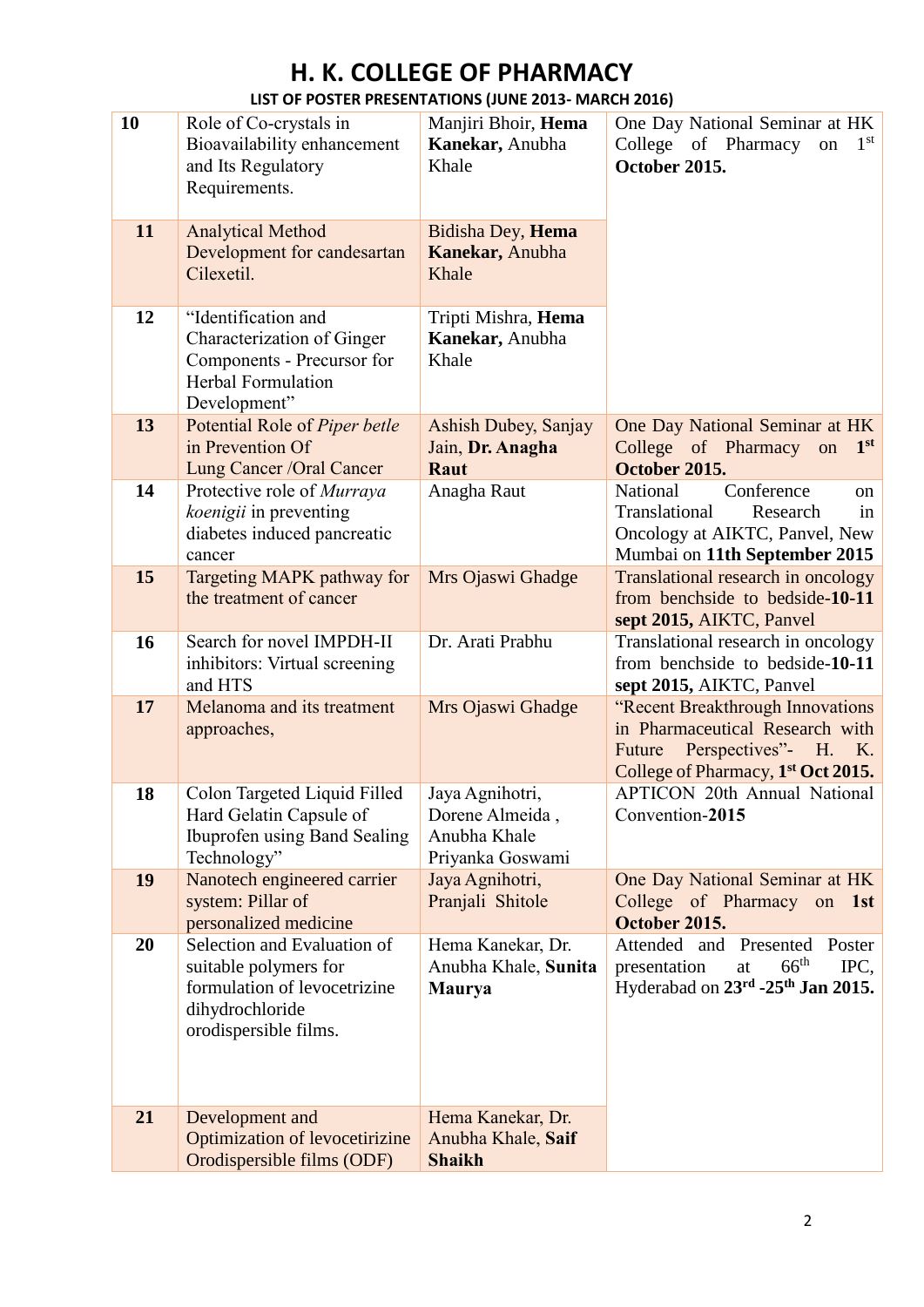| 10 | Role of Co-crystals in<br>Bioavailability enhancement<br>and Its Regulatory<br>Requirements.                                     | Manjiri Bhoir, Hema<br>Kanekar, Anubha<br>Khale                        | One Day National Seminar at HK<br>College of Pharmacy<br>$1^{\rm st}$<br>on<br>October 2015.                                                            |
|----|----------------------------------------------------------------------------------------------------------------------------------|------------------------------------------------------------------------|---------------------------------------------------------------------------------------------------------------------------------------------------------|
| 11 | <b>Analytical Method</b><br>Development for candesartan<br>Cilexetil.                                                            | Bidisha Dey, Hema<br>Kanekar, Anubha<br>Khale                          |                                                                                                                                                         |
| 12 | "Identification and<br>Characterization of Ginger<br>Components - Precursor for<br><b>Herbal Formulation</b><br>Development"     | Tripti Mishra, Hema<br>Kanekar, Anubha<br>Khale                        |                                                                                                                                                         |
| 13 | Potential Role of Piper betle<br>in Prevention Of<br>Lung Cancer / Oral Cancer                                                   | Ashish Dubey, Sanjay<br>Jain, Dr. Anagha<br>Raut                       | One Day National Seminar at HK<br>College of Pharmacy on<br>1 <sup>st</sup><br>October 2015.                                                            |
| 14 | Protective role of Murraya<br>koenigii in preventing<br>diabetes induced pancreatic<br>cancer                                    | Anagha Raut                                                            | Conference<br>National<br><sub>on</sub><br>Translational<br>Research<br>in<br>Oncology at AIKTC, Panvel, New<br>Mumbai on 11th September 2015           |
| 15 | Targeting MAPK pathway for<br>the treatment of cancer                                                                            | Mrs Ojaswi Ghadge                                                      | Translational research in oncology<br>from benchside to bedside-10-11<br>sept 2015, AIKTC, Panvel                                                       |
| 16 | Search for novel IMPDH-II<br>inhibitors: Virtual screening<br>and HTS                                                            | Dr. Arati Prabhu                                                       | Translational research in oncology<br>from benchside to bedside-10-11<br>sept 2015, AIKTC, Panvel                                                       |
| 17 | Melanoma and its treatment<br>approaches,                                                                                        | Mrs Ojaswi Ghadge                                                      | "Recent Breakthrough Innovations<br>in Pharmaceutical Research with<br>Perspectives"- H. K.<br>Future<br>College of Pharmacy, 1 <sup>st</sup> Oct 2015. |
| 18 | Colon Targeted Liquid Filled<br>Hard Gelatin Capsule of<br>Ibuprofen using Band Sealing<br>Technology"                           | Jaya Agnihotri,<br>Dorene Almeida,<br>Anubha Khale<br>Priyanka Goswami | <b>APTICON 20th Annual National</b><br>Convention-2015                                                                                                  |
| 19 | Nanotech engineered carrier<br>system: Pillar of<br>personalized medicine                                                        | Jaya Agnihotri,<br>Pranjali Shitole                                    | One Day National Seminar at HK<br>College of Pharmacy on 1st<br>October 2015.                                                                           |
| 20 | Selection and Evaluation of<br>suitable polymers for<br>formulation of levocetrizine<br>dihydrochloride<br>orodispersible films. | Hema Kanekar, Dr.<br>Anubha Khale, Sunita<br><b>Maurya</b>             | Attended and Presented Poster<br>$66^{\text{th}}$<br>IPC,<br>presentation<br>at<br>Hyderabad on 23rd -25th Jan 2015.                                    |
| 21 | Development and<br>Optimization of levocetirizine<br>Orodispersible films (ODF)                                                  | Hema Kanekar, Dr.<br>Anubha Khale, Saif<br><b>Shaikh</b>               |                                                                                                                                                         |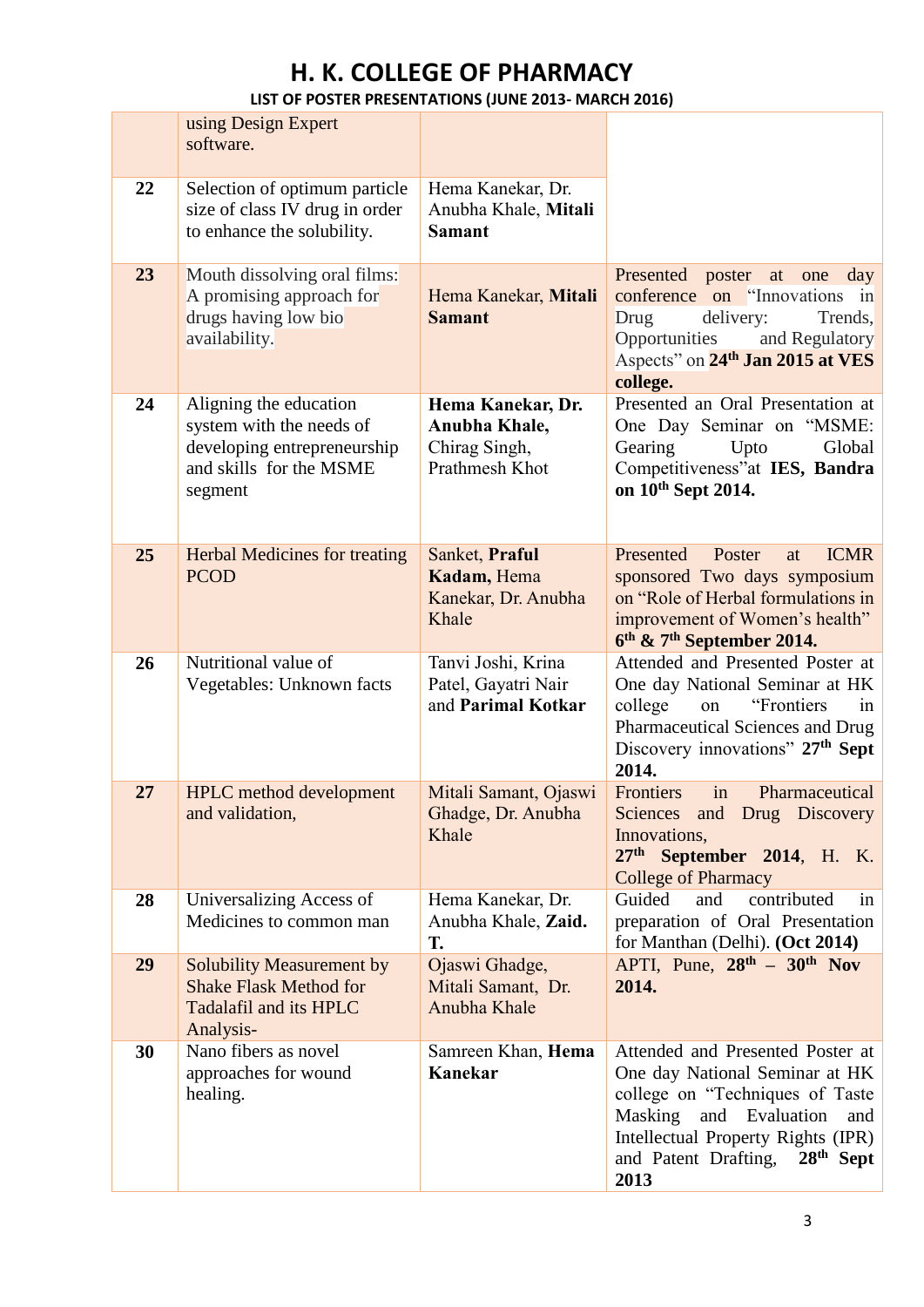|    | using Design Expert<br>software.                                                                                        |                                                                       |                                                                                                                                                                                                                             |
|----|-------------------------------------------------------------------------------------------------------------------------|-----------------------------------------------------------------------|-----------------------------------------------------------------------------------------------------------------------------------------------------------------------------------------------------------------------------|
| 22 | Selection of optimum particle<br>size of class IV drug in order<br>to enhance the solubility.                           | Hema Kanekar, Dr.<br>Anubha Khale, Mitali<br><b>Samant</b>            |                                                                                                                                                                                                                             |
| 23 | Mouth dissolving oral films:<br>A promising approach for<br>drugs having low bio<br>availability.                       | Hema Kanekar, Mitali<br><b>Samant</b>                                 | Presented<br>poster<br>at<br>one<br>day<br>conference on "Innovations"<br>in<br>delivery:<br>Drug<br>Trends,<br>Opportunities<br>and Regulatory<br>Aspects" on 24 <sup>th</sup> Jan 2015 at VES<br>college.                 |
| 24 | Aligning the education<br>system with the needs of<br>developing entrepreneurship<br>and skills for the MSME<br>segment | Hema Kanekar, Dr.<br>Anubha Khale,<br>Chirag Singh,<br>Prathmesh Khot | Presented an Oral Presentation at<br>One Day Seminar on "MSME:<br>Gearing<br>Upto<br>Global<br>Competitiveness"at IES, Bandra<br>on 10 <sup>th</sup> Sept 2014.                                                             |
| 25 | <b>Herbal Medicines for treating</b><br><b>PCOD</b>                                                                     | Sanket, Praful<br>Kadam, Hema<br>Kanekar, Dr. Anubha<br>Khale         | Presented<br><b>ICMR</b><br>Poster<br>at<br>sponsored Two days symposium<br>on "Role of Herbal formulations in<br>improvement of Women's health"<br>$6th$ & 7 <sup>th</sup> September 2014.                                 |
| 26 | Nutritional value of<br>Vegetables: Unknown facts                                                                       | Tanvi Joshi, Krina<br>Patel, Gayatri Nair<br>and Parimal Kotkar       | Attended and Presented Poster at<br>One day National Seminar at HK<br>"Frontiers<br>college<br>on<br>1n<br>Pharmaceutical Sciences and Drug<br>Discovery innovations" 27th Sept<br>2014.                                    |
| 27 | <b>HPLC</b> method development<br>and validation,                                                                       | Mitali Samant, Ojaswi<br>Ghadge, Dr. Anubha<br>Khale                  | Frontiers<br>in<br>Pharmaceutical<br>Sciences and Drug Discovery<br>Innovations,<br>$27th$ September 2014, H. K.<br><b>College of Pharmacy</b>                                                                              |
| 28 | Universalizing Access of<br>Medicines to common man                                                                     | Hema Kanekar, Dr.<br>Anubha Khale, Zaid.<br>T.                        | Guided<br>and<br>contributed<br>in<br>preparation of Oral Presentation<br>for Manthan (Delhi). (Oct 2014)                                                                                                                   |
| 29 | <b>Solubility Measurement by</b><br><b>Shake Flask Method for</b><br>Tadalafil and its HPLC<br>Analysis-                | Ojaswi Ghadge,<br>Mitali Samant, Dr.<br>Anubha Khale                  | APTI, Pune, $28^{th}$ – $30^{th}$ Nov<br>2014.                                                                                                                                                                              |
| 30 | Nano fibers as novel<br>approaches for wound<br>healing.                                                                | Samreen Khan, Hema<br><b>Kanekar</b>                                  | Attended and Presented Poster at<br>One day National Seminar at HK<br>college on "Techniques of Taste<br>Masking and Evaluation<br>and<br>Intellectual Property Rights (IPR)<br>and Patent Drafting,<br>$28th$ Sept<br>2013 |